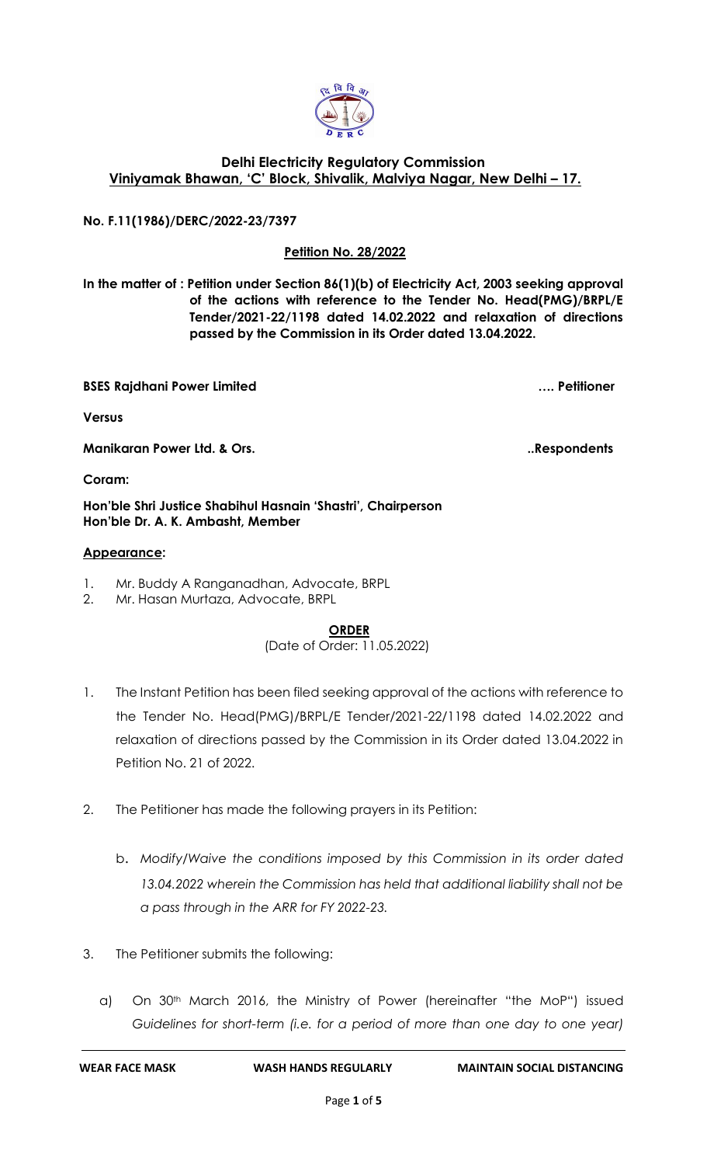

### **Delhi Electricity Regulatory Commission Viniyamak Bhawan, 'C' Block, Shivalik, Malviya Nagar, New Delhi – 17.**

**No. F.11(1986)/DERC/2022-23/7397**

### **Petition No. 28/2022**

**In the matter of : Petition under Section 86(1)(b) of Electricity Act, 2003 seeking approval of the actions with reference to the Tender No. Head(PMG)/BRPL/E Tender/2021-22/1198 dated 14.02.2022 and relaxation of directions passed by the Commission in its Order dated 13.04.2022.**

**BSES Rajdhani Power Limited …. Petitioner**

**Versus**

**Manikaran Power Ltd. & Ors.** Notice that the set of the set of the set of the set of the set of the set of the set of the set of the set of the set of the set of the set of the set of the set of the set of the set of the

**Coram:** 

**Hon'ble Shri Justice Shabihul Hasnain 'Shastri', Chairperson Hon'ble Dr. A. K. Ambasht, Member**

#### **Appearance:**

- 1. Mr. Buddy A Ranganadhan, Advocate, BRPL
- 2. Mr. Hasan Murtaza, Advocate, BRPL

#### **ORDER**

# (Date of Order: 11.05.2022)

- 1. The Instant Petition has been filed seeking approval of the actions with reference to the Tender No. Head(PMG)/BRPL/E Tender/2021-22/1198 dated 14.02.2022 and relaxation of directions passed by the Commission in its Order dated 13.04.2022 in Petition No. 21 of 2022.
- 2. The Petitioner has made the following prayers in its Petition:
	- b. *Modify/Waive the conditions imposed by this Commission in its order dated 13.04.2022 wherein the Commission has held that additional liability shall not be a pass through in the ARR for FY 2022-23.*
- 3. The Petitioner submits the following:
	- a) On 30<sup>th</sup> March 2016, the Ministry of Power (hereinafter "the MoP") issued *Guidelines for short-term (i.e. for a period of more than one day to one year)*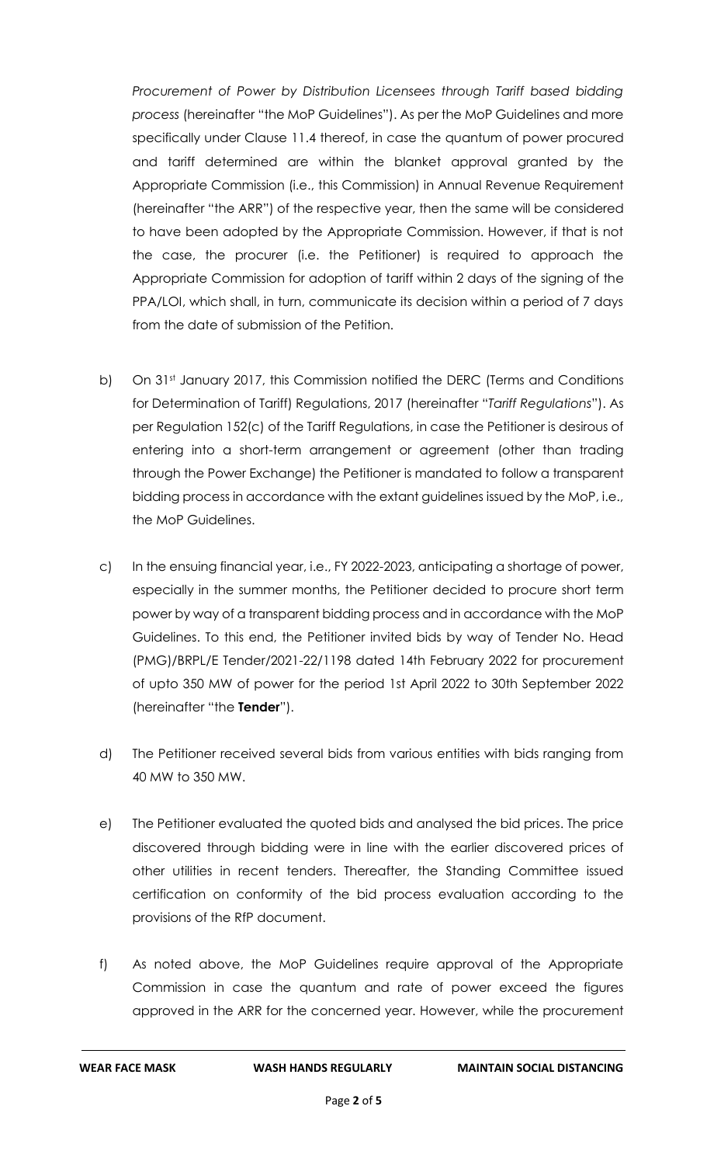*Procurement of Power by Distribution Licensees through Tariff based bidding process* (hereinafter "the MoP Guidelines"). As per the MoP Guidelines and more specifically under Clause 11.4 thereof, in case the quantum of power procured and tariff determined are within the blanket approval granted by the Appropriate Commission (i.e., this Commission) in Annual Revenue Requirement (hereinafter "the ARR") of the respective year, then the same will be considered to have been adopted by the Appropriate Commission. However, if that is not the case, the procurer (i.e. the Petitioner) is required to approach the Appropriate Commission for adoption of tariff within 2 days of the signing of the PPA/LOI, which shall, in turn, communicate its decision within a period of 7 days from the date of submission of the Petition.

- b) On 31st January 2017, this Commission notified the DERC (Terms and Conditions for Determination of Tariff) Regulations, 2017 (hereinafter "*Tariff Regulations*"). As per Regulation 152(c) of the Tariff Regulations, in case the Petitioner is desirous of entering into a short-term arrangement or agreement (other than trading through the Power Exchange) the Petitioner is mandated to follow a transparent bidding process in accordance with the extant guidelines issued by the MoP, i.e., the MoP Guidelines.
- c) In the ensuing financial year, i.e., FY 2022-2023, anticipating a shortage of power, especially in the summer months, the Petitioner decided to procure short term power by way of a transparent bidding process and in accordance with the MoP Guidelines. To this end, the Petitioner invited bids by way of Tender No. Head (PMG)/BRPL/E Tender/2021-22/1198 dated 14th February 2022 for procurement of upto 350 MW of power for the period 1st April 2022 to 30th September 2022 (hereinafter "the **Tender**").
- d) The Petitioner received several bids from various entities with bids ranging from 40 MW to 350 MW.
- e) The Petitioner evaluated the quoted bids and analysed the bid prices. The price discovered through bidding were in line with the earlier discovered prices of other utilities in recent tenders. Thereafter, the Standing Committee issued certification on conformity of the bid process evaluation according to the provisions of the RfP document.
- f) As noted above, the MoP Guidelines require approval of the Appropriate Commission in case the quantum and rate of power exceed the figures approved in the ARR for the concerned year. However, while the procurement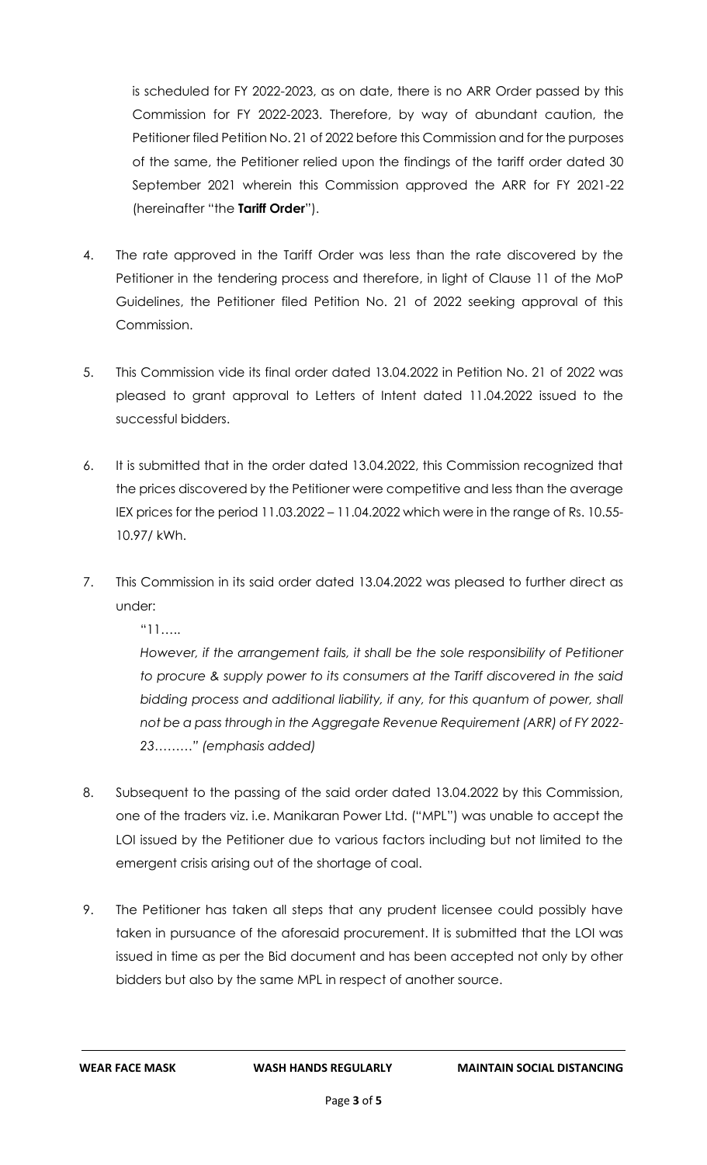is scheduled for FY 2022-2023, as on date, there is no ARR Order passed by this Commission for FY 2022-2023. Therefore, by way of abundant caution, the Petitioner filed Petition No. 21 of 2022 before this Commission and for the purposes of the same, the Petitioner relied upon the findings of the tariff order dated 30 September 2021 wherein this Commission approved the ARR for FY 2021-22 (hereinafter "the **Tariff Order**").

- 4. The rate approved in the Tariff Order was less than the rate discovered by the Petitioner in the tendering process and therefore, in light of Clause 11 of the MoP Guidelines, the Petitioner filed Petition No. 21 of 2022 seeking approval of this Commission.
- 5. This Commission vide its final order dated 13.04.2022 in Petition No. 21 of 2022 was pleased to grant approval to Letters of Intent dated 11.04.2022 issued to the successful bidders.
- 6. It is submitted that in the order dated 13.04.2022, this Commission recognized that the prices discovered by the Petitioner were competitive and less than the average IEX prices for the period 11.03.2022 – 11.04.2022 which were in the range of Rs. 10.55- 10.97/ kWh.
- 7. This Commission in its said order dated 13.04.2022 was pleased to further direct as under:

"11…..

*However, if the arrangement fails, it shall be the sole responsibility of Petitioner to procure & supply power to its consumers at the Tariff discovered in the said bidding process and additional liability, if any, for this quantum of power, shall not be a pass through in the Aggregate Revenue Requirement (ARR) of FY 2022- 23………" (emphasis added)*

- 8. Subsequent to the passing of the said order dated 13.04.2022 by this Commission, one of the traders viz. i.e. Manikaran Power Ltd. ("MPL") was unable to accept the LOI issued by the Petitioner due to various factors including but not limited to the emergent crisis arising out of the shortage of coal.
- 9. The Petitioner has taken all steps that any prudent licensee could possibly have taken in pursuance of the aforesaid procurement. It is submitted that the LOI was issued in time as per the Bid document and has been accepted not only by other bidders but also by the same MPL in respect of another source.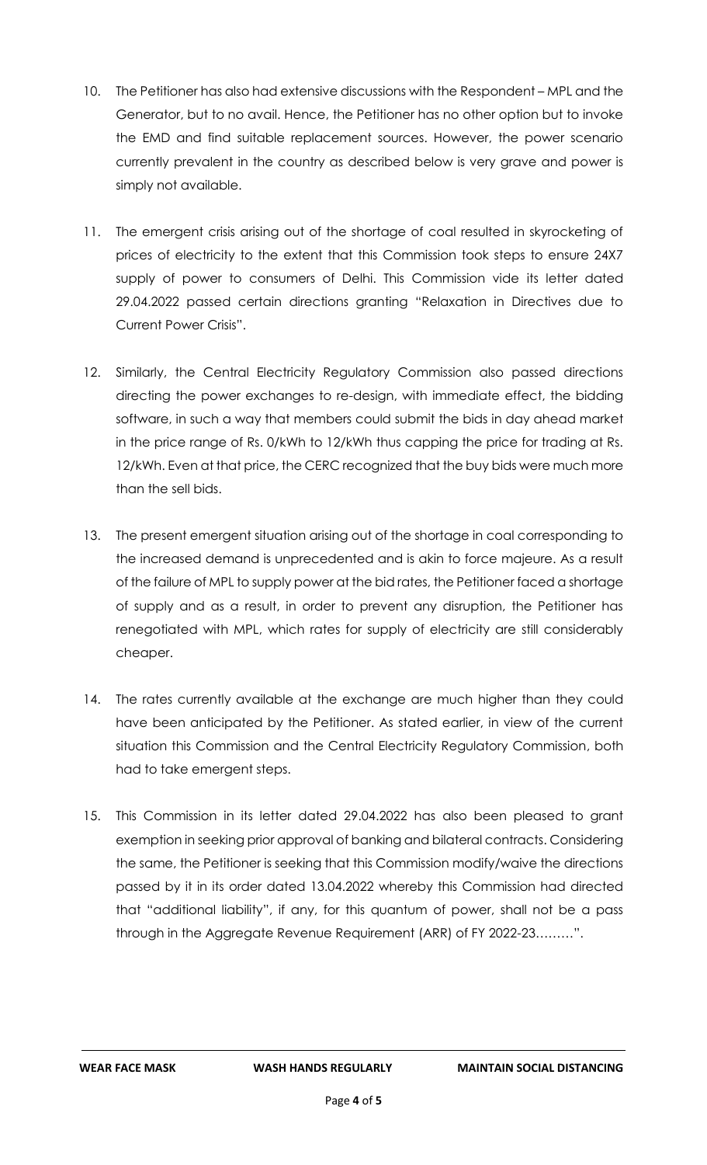- 10. The Petitioner has also had extensive discussions with the Respondent MPL and the Generator, but to no avail. Hence, the Petitioner has no other option but to invoke the EMD and find suitable replacement sources. However, the power scenario currently prevalent in the country as described below is very grave and power is simply not available.
- 11. The emergent crisis arising out of the shortage of coal resulted in skyrocketing of prices of electricity to the extent that this Commission took steps to ensure 24X7 supply of power to consumers of Delhi. This Commission vide its letter dated 29.04.2022 passed certain directions granting "Relaxation in Directives due to Current Power Crisis".
- 12. Similarly, the Central Electricity Regulatory Commission also passed directions directing the power exchanges to re-design, with immediate effect, the bidding software, in such a way that members could submit the bids in day ahead market in the price range of Rs. 0/kWh to 12/kWh thus capping the price for trading at Rs. 12/kWh. Even at that price, the CERC recognized that the buy bids were much more than the sell bids.
- 13. The present emergent situation arising out of the shortage in coal corresponding to the increased demand is unprecedented and is akin to force majeure. As a result of the failure of MPL to supply power at the bid rates, the Petitioner faced a shortage of supply and as a result, in order to prevent any disruption, the Petitioner has renegotiated with MPL, which rates for supply of electricity are still considerably cheaper.
- 14. The rates currently available at the exchange are much higher than they could have been anticipated by the Petitioner. As stated earlier, in view of the current situation this Commission and the Central Electricity Regulatory Commission, both had to take emergent steps.
- 15. This Commission in its letter dated 29.04.2022 has also been pleased to grant exemption in seeking prior approval of banking and bilateral contracts. Considering the same, the Petitioner is seeking that this Commission modify/waive the directions passed by it in its order dated 13.04.2022 whereby this Commission had directed that "additional liability", if any, for this quantum of power, shall not be a pass through in the Aggregate Revenue Requirement (ARR) of FY 2022-23………".